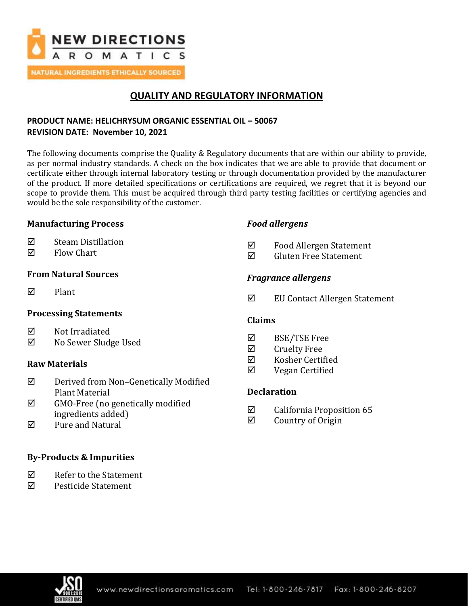

**NATURAL INGREDIENTS ETHICALLY SOURCED** 

## **QUALITY AND REGULATORY INFORMATION**

## **PRODUCT NAME: HELICHRYSUM ORGANIC ESSENTIAL OIL – 50067 REVISION DATE: November 10, 2021**

The following documents comprise the Quality & Regulatory documents that are within our ability to provide, as per normal industry standards. A check on the box indicates that we are able to provide that document or certificate either through internal laboratory testing or through documentation provided by the manufacturer of the product. If more detailed specifications or certifications are required, we regret that it is beyond our scope to provide them. This must be acquired through third party testing facilities or certifying agencies and would be the sole responsibility of the customer.

## **Manufacturing Process**

## $\nabla$  Steam Distillation

 $\boxtimes$  Flow Chart

## **From Natural Sources**

 $\nabla$  Plant

## **Processing Statements**

- **⊠** Not Irradiated
- No Sewer Sludge Used

## **Raw Materials**

- $\boxtimes$  Derived from Non-Genetically Modified Plant Material
- $\boxtimes$  GMO-Free (no genetically modified ingredients added)
- $\boxtimes$  Pure and Natural

## **By-Products & Impurities**

- Refer to the Statement
- Pesticide Statement

## *Food allergens*

- Food Allergen Statement
- $\boxtimes$  Gluten Free Statement

## *Fragrance allergens*

EU Contact Allergen Statement

### **Claims**

- BSE/TSE Free
- $\boxtimes$  Cruelty Free
- $\nabla$  Kosher Certified
- Vegan Certified

## **Declaration**

- $\boxtimes$  California Proposition 65
- $\boxtimes$  Country of Origin

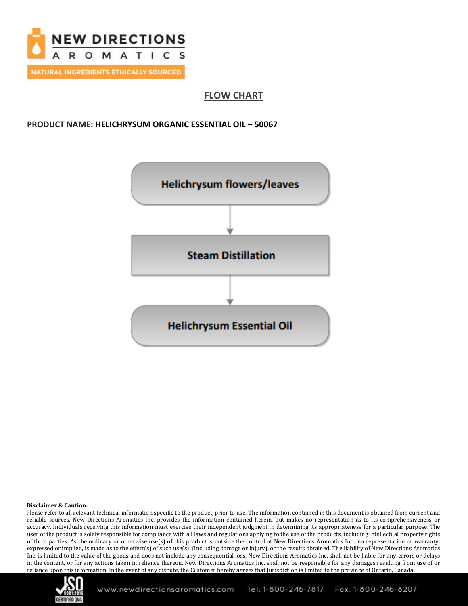

**FLOW CHART**

### **PRODUCT NAME: HELICHRYSUM ORGANIC ESSENTIAL OIL – 50067**



#### **Disclaimer & Caution:**

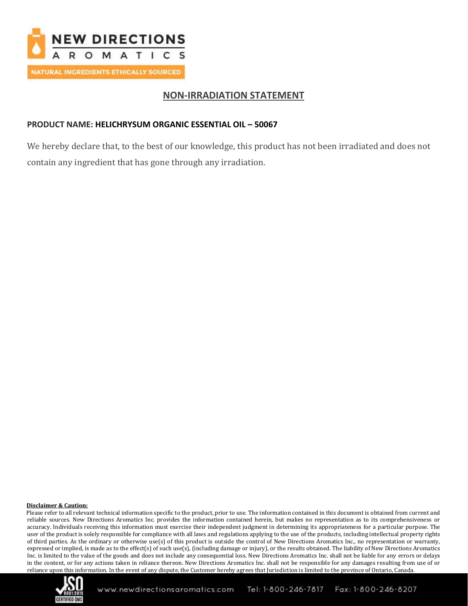

## **NON-IRRADIATION STATEMENT**

### **PRODUCT NAME: HELICHRYSUM ORGANIC ESSENTIAL OIL – 50067**

We hereby declare that, to the best of our knowledge, this product has not been irradiated and does not contain any ingredient that has gone through any irradiation.

#### **Disclaimer & Caution:**

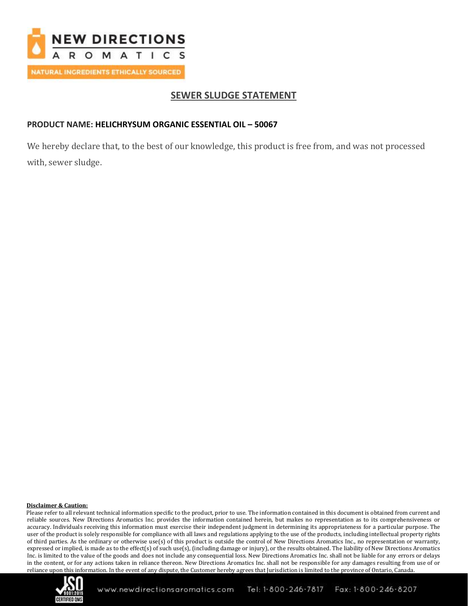

## **SEWER SLUDGE STATEMENT**

### **PRODUCT NAME: HELICHRYSUM ORGANIC ESSENTIAL OIL – 50067**

We hereby declare that, to the best of our knowledge, this product is free from, and was not processed with, sewer sludge.

#### **Disclaimer & Caution:**

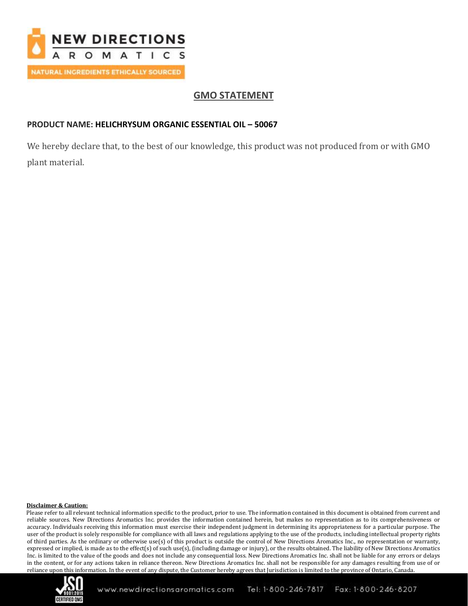

## **GMO STATEMENT**

## **PRODUCT NAME: HELICHRYSUM ORGANIC ESSENTIAL OIL – 50067**

We hereby declare that, to the best of our knowledge, this product was not produced from or with GMO plant material.

#### **Disclaimer & Caution:**

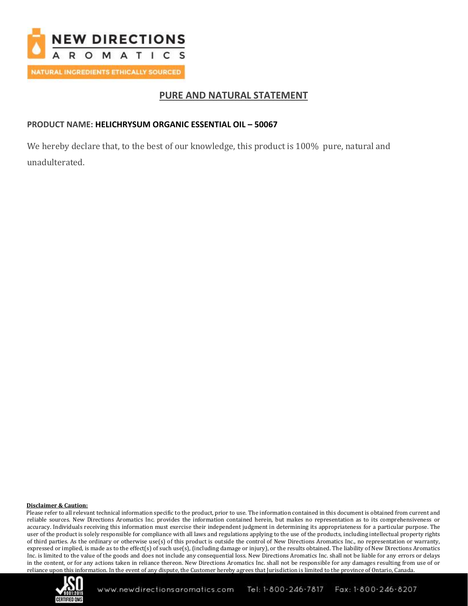

## **PURE AND NATURAL STATEMENT**

### **PRODUCT NAME: HELICHRYSUM ORGANIC ESSENTIAL OIL – 50067**

We hereby declare that, to the best of our knowledge, this product is 100% pure, natural and unadulterated.

#### **Disclaimer & Caution:**

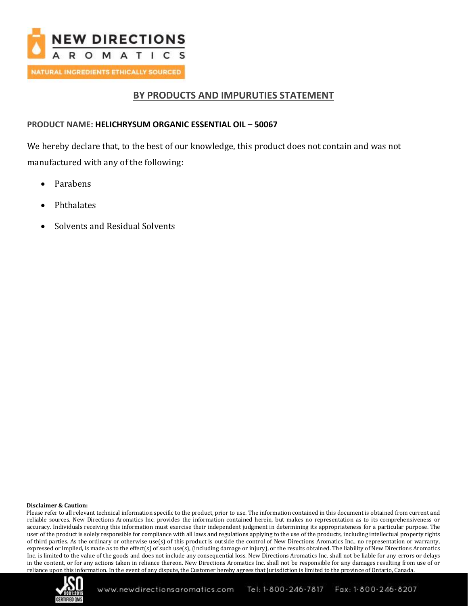

## **BY PRODUCTS AND IMPURUTIES STATEMENT**

### **PRODUCT NAME: HELICHRYSUM ORGANIC ESSENTIAL OIL – 50067**

We hereby declare that, to the best of our knowledge, this product does not contain and was not manufactured with any of the following:

- Parabens
- Phthalates
- Solvents and Residual Solvents

#### **Disclaimer & Caution:**

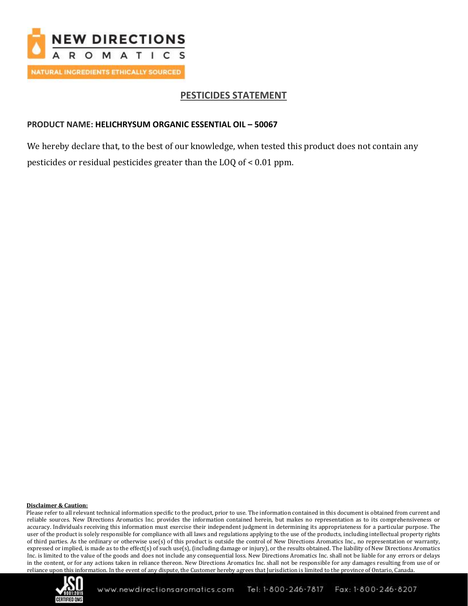

## **PESTICIDES STATEMENT**

### **PRODUCT NAME: HELICHRYSUM ORGANIC ESSENTIAL OIL – 50067**

We hereby declare that, to the best of our knowledge, when tested this product does not contain any pesticides or residual pesticides greater than the LOQ of < 0.01 ppm.

#### **Disclaimer & Caution:**

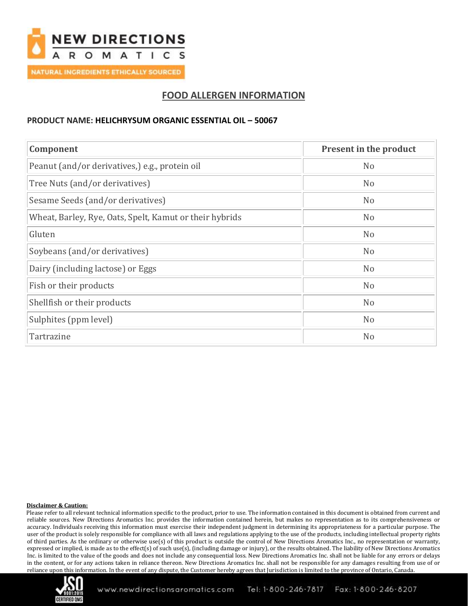

## **FOOD ALLERGEN INFORMATION**

### **PRODUCT NAME: HELICHRYSUM ORGANIC ESSENTIAL OIL – 50067**

| Component                                               | Present in the product |  |
|---------------------------------------------------------|------------------------|--|
| Peanut (and/or derivatives,) e.g., protein oil          | N <sub>o</sub>         |  |
| Tree Nuts (and/or derivatives)                          | N <sub>o</sub>         |  |
| Sesame Seeds (and/or derivatives)                       | N <sub>o</sub>         |  |
| Wheat, Barley, Rye, Oats, Spelt, Kamut or their hybrids | N <sub>o</sub>         |  |
| Gluten                                                  | N <sub>o</sub>         |  |
| Soybeans (and/or derivatives)                           | N <sub>o</sub>         |  |
| Dairy (including lactose) or Eggs                       | N <sub>o</sub>         |  |
| Fish or their products                                  | N <sub>o</sub>         |  |
| Shellfish or their products                             | N <sub>o</sub>         |  |
| Sulphites (ppm level)                                   | N <sub>o</sub>         |  |
| Tartrazine                                              | N <sub>o</sub>         |  |

#### **Disclaimer & Caution:**

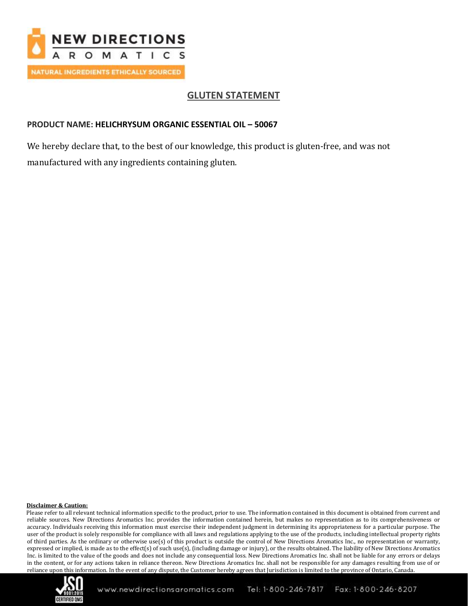

## **GLUTEN STATEMENT**

### **PRODUCT NAME: HELICHRYSUM ORGANIC ESSENTIAL OIL – 50067**

We hereby declare that, to the best of our knowledge, this product is gluten-free, and was not manufactured with any ingredients containing gluten.

#### **Disclaimer & Caution:**

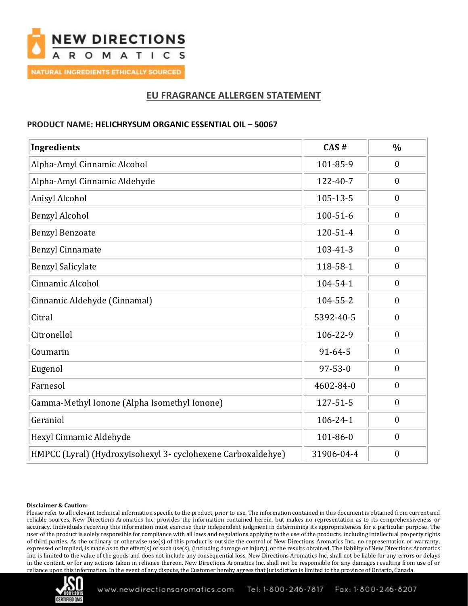

## **EU FRAGRANCE ALLERGEN STATEMENT**

### **PRODUCT NAME: HELICHRYSUM ORGANIC ESSENTIAL OIL – 50067**

| <b>Ingredients</b>                                           | CAS#           | $\frac{0}{0}$    |
|--------------------------------------------------------------|----------------|------------------|
| Alpha-Amyl Cinnamic Alcohol                                  | 101-85-9       | $\mathbf{0}$     |
| Alpha-Amyl Cinnamic Aldehyde                                 | 122-40-7       | $\mathbf{0}$     |
| Anisyl Alcohol                                               | 105-13-5       | $\mathbf{0}$     |
| <b>Benzyl Alcohol</b>                                        | $100 - 51 - 6$ | $\boldsymbol{0}$ |
| <b>Benzyl Benzoate</b>                                       | 120-51-4       | $\boldsymbol{0}$ |
| <b>Benzyl Cinnamate</b>                                      | $103 - 41 - 3$ | $\boldsymbol{0}$ |
| <b>Benzyl Salicylate</b>                                     | 118-58-1       | $\boldsymbol{0}$ |
| Cinnamic Alcohol                                             | 104-54-1       | $\overline{0}$   |
| Cinnamic Aldehyde (Cinnamal)                                 | 104-55-2       | $\overline{0}$   |
| Citral                                                       | 5392-40-5      | $\overline{0}$   |
| Citronellol                                                  | 106-22-9       | $\mathbf{0}$     |
| Coumarin                                                     | $91 - 64 - 5$  | $\boldsymbol{0}$ |
| Eugenol                                                      | $97 - 53 - 0$  | $\boldsymbol{0}$ |
| Farnesol                                                     | 4602-84-0      | $\boldsymbol{0}$ |
| Gamma-Methyl Ionone (Alpha Isomethyl Ionone)                 | 127-51-5       | $\boldsymbol{0}$ |
| Geraniol                                                     | $106 - 24 - 1$ | $\boldsymbol{0}$ |
| Hexyl Cinnamic Aldehyde                                      | 101-86-0       | $\boldsymbol{0}$ |
| HMPCC (Lyral) (Hydroxyisohexyl 3- cyclohexene Carboxaldehye) | 31906-04-4     | $\boldsymbol{0}$ |

#### **Disclaimer & Caution:**

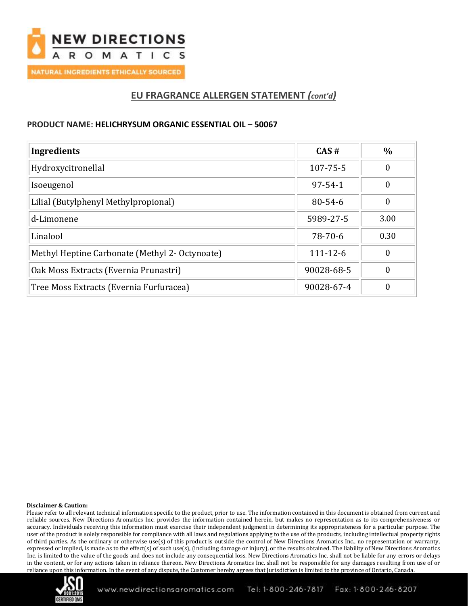

## **EU FRAGRANCE ALLERGEN STATEMENT** *(cont'd)*

### **PRODUCT NAME: HELICHRYSUM ORGANIC ESSENTIAL OIL – 50067**

| Ingredients                                    | CAS#           | $\%$ |
|------------------------------------------------|----------------|------|
| Hydroxycitronellal                             | 107-75-5       | 0    |
| Isoeugenol                                     | $97 - 54 - 1$  | 0    |
| Lilial (Butylphenyl Methylpropional)           | $80 - 54 - 6$  | 0    |
| d-Limonene                                     | 5989-27-5      | 3.00 |
| Linalool                                       | 78-70-6        | 0.30 |
| Methyl Heptine Carbonate (Methyl 2- Octynoate) | $111 - 12 - 6$ | 0    |
| Oak Moss Extracts (Evernia Prunastri)          | 90028-68-5     | 0    |
| Tree Moss Extracts (Evernia Furfuracea)        | 90028-67-4     | 0    |

#### **Disclaimer & Caution:**

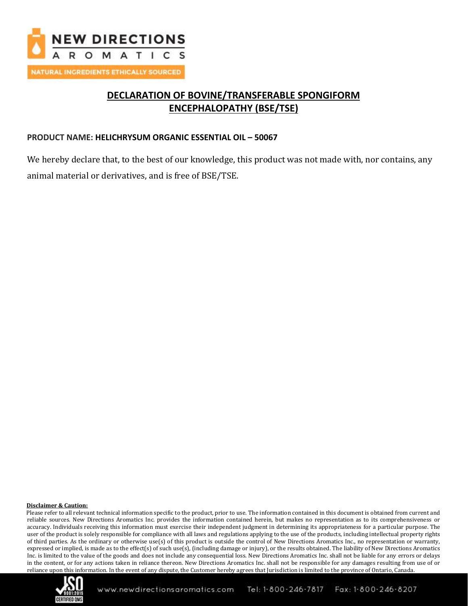

# **DECLARATION OF BOVINE/TRANSFERABLE SPONGIFORM ENCEPHALOPATHY (BSE/TSE)**

### **PRODUCT NAME: HELICHRYSUM ORGANIC ESSENTIAL OIL – 50067**

We hereby declare that, to the best of our knowledge, this product was not made with, nor contains, any animal material or derivatives, and is free of BSE/TSE.

#### **Disclaimer & Caution:**

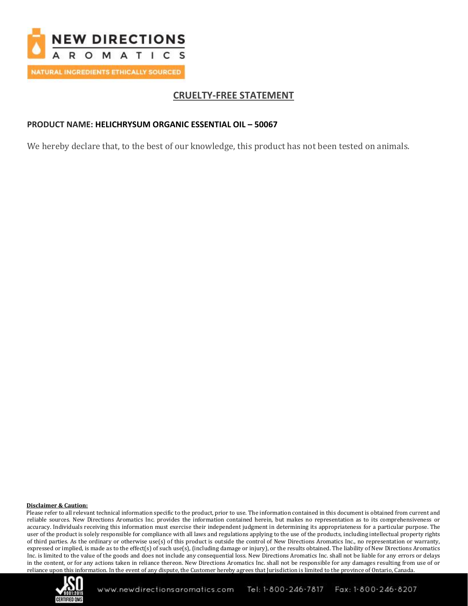

## **CRUELTY-FREE STATEMENT**

### **PRODUCT NAME: HELICHRYSUM ORGANIC ESSENTIAL OIL – 50067**

We hereby declare that, to the best of our knowledge, this product has not been tested on animals.

#### **Disclaimer & Caution:**

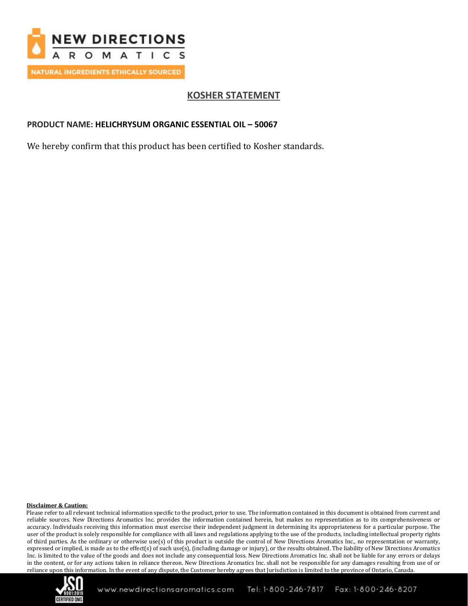

# **KOSHER STATEMENT**

### **PRODUCT NAME: HELICHRYSUM ORGANIC ESSENTIAL OIL – 50067**

We hereby confirm that this product has been certified to Kosher standards.

#### **Disclaimer & Caution:**

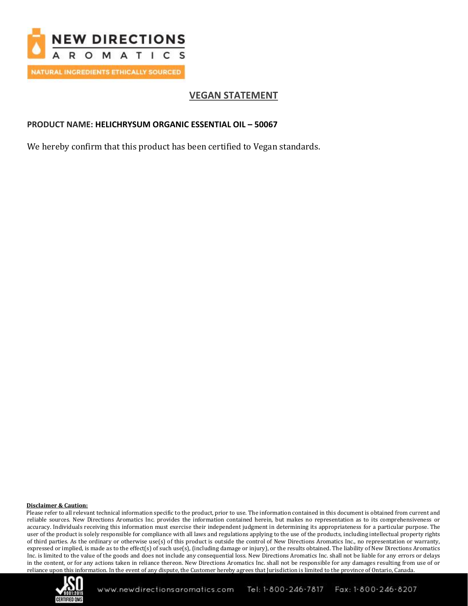

# **VEGAN STATEMENT**

### **PRODUCT NAME: HELICHRYSUM ORGANIC ESSENTIAL OIL – 50067**

We hereby confirm that this product has been certified to Vegan standards.

#### **Disclaimer & Caution:**

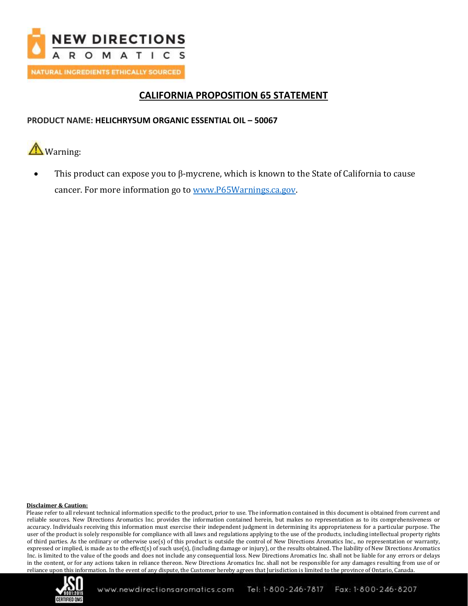

## **CALIFORNIA PROPOSITION 65 STATEMENT**

### **PRODUCT NAME: HELICHRYSUM ORGANIC ESSENTIAL OIL – 50067**

Warning:

• This product can expose you to β-mycrene, which is known to the State of California to cause cancer. For more information go to [www.P65Warnings.ca.gov.](http://www.p65warnings.ca.gov/)

#### **Disclaimer & Caution:**